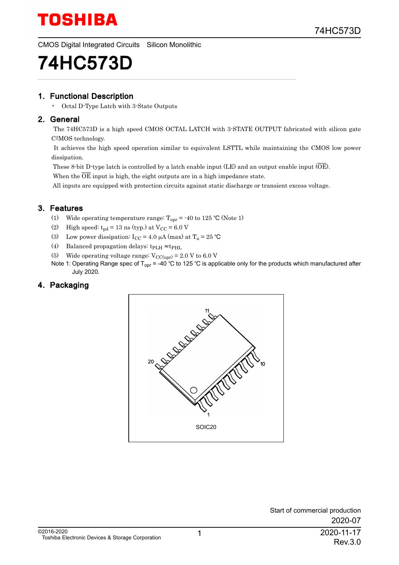CMOS Digital Integrated Circuits Silicon Monolithic

# 74HC573D

#### 1. Functional Description

• Octal D-Type Latch with 3-State Outputs

#### 2. General

 The 74HC573D is a high speed CMOS OCTAL LATCH with 3-STATE OUTPUT fabricated with silicon gate C2MOS technology.

 It achieves the high speed operation similar to equivalent LSTTL while maintaining the CMOS low power dissipation.

These 8-bit D-type latch is controlled by a latch enable input (LE) and an output enable input (OE).

When the  $\overline{OE}$  input is high, the eight outputs are in a high impedance state.

All inputs are equipped with protection circuits against static discharge or transient excess voltage.

#### 3. Features

- (1) Wide operating temperature range:  $T_{\text{opr}} = -40$  to 125 °C (Note 1)
- (2) High speed:  $t_{\text{pd}} = 13 \text{ ns (typ.) at } V_{\text{CC}} = 6.0 \text{ V}$
- (3) Low power dissipation:  $I_{CC} = 4.0 \mu A$  (max) at  $T_a = 25 \text{ °C}$
- (4) Balanced propagation delays:  $t_{\rm PLH} \approx t_{\rm PHL}$
- (5) Wide operating voltage range:  $V_{\text{CC(opr)}} = 2.0 V$  to 6.0 V
- Note 1: Operating Range spec of T<sub>opr</sub> = -40 °C to 125 °C is applicable only for the products which manufactured after July 2020.

#### 4. Packaging

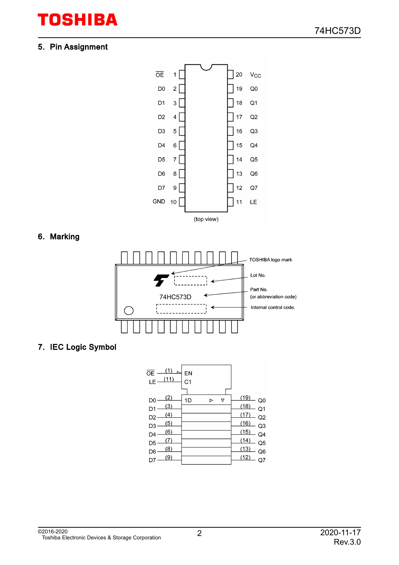#### 5. Pin Assignment



#### 6. Marking



#### 7. IEC Logic Symbol

| (1)<br>OE<br>(11)<br>LE     | EN<br>C <sub>1</sub> |        |                               |
|-----------------------------|----------------------|--------|-------------------------------|
| 2<br>D0<br>(3)<br>D1<br>(4) | 1D                   | Δ<br>D | (19<br>Q0<br>(18<br>Q1<br>(17 |
| D2<br>(5)<br>D3<br>(6)      |                      |        | Q2<br>(16)<br>Q3<br>(15)      |
| D4<br>D <sub>5</sub><br>(8) |                      |        | Q4<br>(14<br>Q5<br>(13)       |
| D6<br>(9)                   |                      |        | Q6<br>(12                     |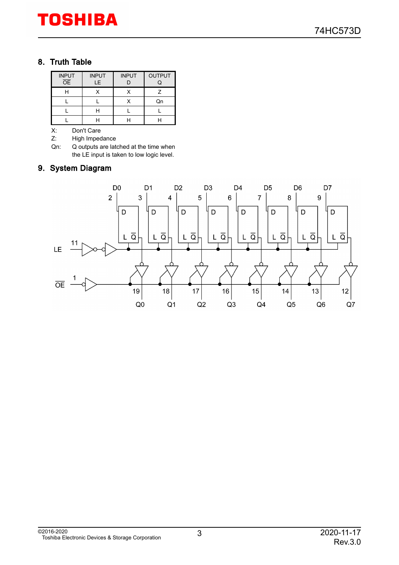#### 8. Truth Table

| <b>INPUT</b><br><b>OE</b> | <b>INPUT</b><br>LE. | <b>INPUT</b> | <b>OUTPUT</b> |
|---------------------------|---------------------|--------------|---------------|
|                           |                     |              |               |
|                           |                     |              | Qn            |
|                           |                     |              |               |
|                           |                     |              |               |

X: Don't Care<br>Z: High Imped

High Impedance

Qn: Q outputs are latched at the time when the LE input is taken to low logic level.

#### 9. System Diagram

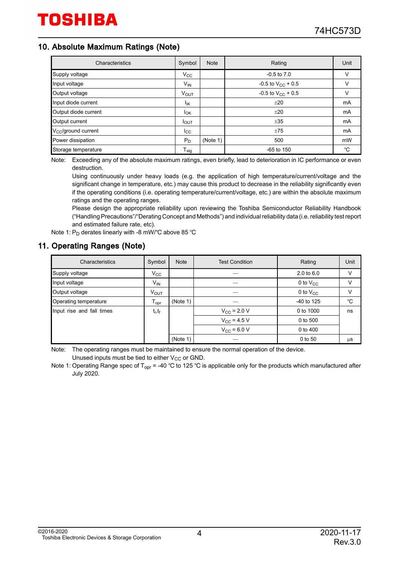#### 10. Absolute Maximum Ratings (Note)

| Characteristics                 | Symbol           | <b>Note</b> | Rating                 | Unit |
|---------------------------------|------------------|-------------|------------------------|------|
| Supply voltage                  | $V_{\rm CC}$     |             | $-0.5$ to $7.0$        | V    |
| Input voltage                   | $V_{IN}$         |             | -0.5 to $V_{CC}$ + 0.5 | v    |
| Output voltage                  | $V_{OUT}$        |             | -0.5 to $V_{CC}$ + 0.5 | v    |
| Input diode current             | lικ              |             | ±20                    | mA   |
| Output diode current            | $I_{OK}$         |             | ±20                    | mA   |
| Output current                  | $I_{\text{OUT}}$ |             | ±35                    | mA   |
| V <sub>CC</sub> /ground current | $_{\rm lcc}$     |             | ±75                    | mA   |
| Power dissipation               | $P_D$            | (Note 1)    | 500                    | mW   |
| Storage temperature             | $T_{\text{stg}}$ |             | $-65$ to $150$         | °C   |

Note: Exceeding any of the absolute maximum ratings, even briefly, lead to deterioration in IC performance or even destruction.

Using continuously under heavy loads (e.g. the application of high temperature/current/voltage and the significant change in temperature, etc.) may cause this product to decrease in the reliability significantly even if the operating conditions (i.e. operating temperature/current/voltage, etc.) are within the absolute maximum ratings and the operating ranges.

Please design the appropriate reliability upon reviewing the Toshiba Semiconductor Reliability Handbook ("Handling Precautions"/"Derating Concept and Methods") and individual reliability data (i.e. reliability test report and estimated failure rate, etc).

Note 1:  $\mathsf{P}_{\mathsf{D}}$  derates linearly with -8 mW/°C above 85 °C

#### 11. Operating Ranges (Note)

| Characteristics           | Symbol                       | <b>Note</b> | <b>Test Condition</b> | Rating                | Unit |
|---------------------------|------------------------------|-------------|-----------------------|-----------------------|------|
| Supply voltage            | $V_{\rm CC}$                 |             |                       | $2.0 \text{ to } 6.0$ | v    |
| Input voltage             | $V_{IN}$                     |             |                       | 0 to $V_{CC}$         | ٧    |
| Output voltage            | <b>VOUT</b>                  |             |                       | 0 to $V_{CC}$         | v    |
| Operating temperature     | ${\mathsf T}_{\mathsf{opr}}$ | (Note 1)    |                       | -40 to 125            | °C   |
| Input rise and fall times | $t_r, t_f$                   |             | $V_{\rm CC}$ = 2.0 V  | 0 to 1000             | ns   |
|                           |                              |             | $V_{CC}$ = 4.5 V      | 0 to 500              |      |
|                           |                              |             | $V_{CC}$ = 6.0 V      | 0 to 400              |      |
|                           |                              | (Note 1)    |                       | 0 to 50               | μS   |

Note: The operating ranges must be maintained to ensure the normal operation of the device. Unused inputs must be tied to either  $V_{CC}$  or GND.

Note 1: Operating Range spec of T<sub>opr</sub> = -40 °C to 125 °C is applicable only for the products which manufactured after July 2020.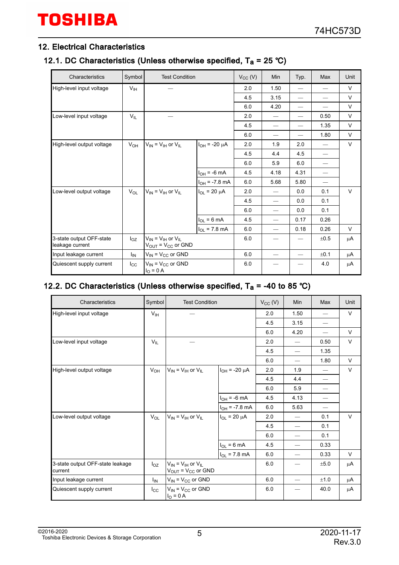#### 12. Electrical Characteristics

#### 12.1. DC Characteristics (Unless otherwise specified,  $T_a = 25 \degree C$ )

| Characteristics                             | Symbol          | <b>Test Condition</b>                                                      |                        | $V_{CC} (V)$ | Min                      | Typ.                     | Max  | Unit   |
|---------------------------------------------|-----------------|----------------------------------------------------------------------------|------------------------|--------------|--------------------------|--------------------------|------|--------|
| High-level input voltage                    | $V_{\text{IH}}$ |                                                                            |                        | 2.0          | 1.50                     |                          |      | V      |
|                                             |                 |                                                                            |                        | 4.5          | 3.15                     |                          |      | V      |
|                                             |                 |                                                                            |                        | 6.0          | 4.20                     | $\overline{\phantom{0}}$ |      | V      |
| Low-level input voltage                     | $V_{IL}$        |                                                                            |                        | 2.0          |                          | $\overline{\phantom{0}}$ | 0.50 | V      |
|                                             |                 |                                                                            |                        | 4.5          |                          | $\overline{\phantom{0}}$ | 1.35 | V      |
|                                             |                 |                                                                            |                        | 6.0          |                          | $\overline{\phantom{0}}$ | 1.80 | V      |
| High-level output voltage                   | $V_{OH}$        | $V_{IN}$ = $V_{IH}$ or $V_{IL}$                                            | $I_{OH}$ = -20 $\mu$ A | 2.0          | 1.9                      | 2.0                      |      | V      |
|                                             |                 |                                                                            |                        | 4.5          | 4.4                      | 4.5                      |      |        |
|                                             |                 |                                                                            |                        | 6.0          | 5.9                      | 6.0                      |      |        |
|                                             |                 |                                                                            | $I_{OH}$ = -6 mA       | 4.5          | 4.18                     | 4.31                     |      |        |
|                                             |                 |                                                                            | $I_{OH}$ = -7.8 mA     | 6.0          | 5.68                     | 5.80                     |      |        |
| Low-level output voltage                    | $V_{OL}$        | $V_{IN}$ = $V_{IH}$ or $V_{IL}$                                            | $I_{OL}$ = 20 $\mu$ A  | 2.0          |                          | 0.0                      | 0.1  | $\vee$ |
|                                             |                 |                                                                            |                        | 4.5          |                          | 0.0                      | 0.1  |        |
|                                             |                 |                                                                            |                        | 6.0          |                          | 0.0                      | 0.1  |        |
|                                             |                 |                                                                            | $I_{OL} = 6 mA$        | 4.5          | $\overline{\phantom{0}}$ | 0.17                     | 0.26 |        |
|                                             |                 |                                                                            | $I_{OL}$ = 7.8 mA      | 6.0          |                          | 0.18                     | 0.26 | V      |
| 3-state output OFF-state<br>leakage current | $I_{OZ}$        | $V_{IN}$ = $V_{IH}$ or $V_{IL}$<br>$V_{\text{OUT}} = V_{\text{CC}}$ or GND |                        | 6.0          |                          |                          | ±0.5 | μA     |
| Input leakage current                       | ΙıΝ             | $V_{IN} = V_{CC}$ or GND                                                   |                        | 6.0          |                          | $\overline{\phantom{0}}$ | ±0.1 | μA     |
| Quiescent supply current                    | $_{\rm lcc}$    | $V_{IN}$ = $V_{CC}$ or GND<br>$IO = 0 A$                                   |                        | 6.0          |                          |                          | 4.0  | μA     |

#### 12.2. DC Characteristics (Unless otherwise specified,  $T_a = -40$  to 85 °C)

| Characteristics                             | Symbol          | <b>Test Condition</b>                                                    |                        | $V_{CC} (V)$ | Min                      | Max  | Unit   |
|---------------------------------------------|-----------------|--------------------------------------------------------------------------|------------------------|--------------|--------------------------|------|--------|
| High-level input voltage                    | $V_{\text{IH}}$ |                                                                          |                        | 2.0          | 1.50                     |      | $\vee$ |
|                                             |                 |                                                                          |                        | 4.5          | 3.15                     |      |        |
|                                             |                 |                                                                          |                        | 6.0          | 4.20                     |      | V      |
| Low-level input voltage                     | $V_{IL}$        |                                                                          |                        | 2.0          |                          | 0.50 | $\vee$ |
|                                             |                 |                                                                          |                        | 4.5          | $\overline{\phantom{0}}$ | 1.35 |        |
|                                             |                 |                                                                          |                        | 6.0          | $\overline{\phantom{0}}$ | 1.80 | $\vee$ |
| High-level output voltage                   | $V_{OH}$        | $V_{IN}$ = $V_{IH}$ or $V_{IL}$                                          | $I_{OH}$ = -20 $\mu$ A | 2.0          | 1.9                      |      | $\vee$ |
|                                             |                 |                                                                          |                        | 4.5          | 4.4                      |      |        |
|                                             |                 |                                                                          |                        | 6.0          | 5.9                      |      |        |
|                                             |                 |                                                                          | $I_{OH}$ = -6 mA       | 4.5          | 4.13                     |      |        |
|                                             |                 |                                                                          | $I_{OH}$ = -7.8 mA     | 6.0          | 5.63                     |      |        |
| Low-level output voltage                    | $V_{OL}$        | $V_{IN}$ = $V_{IH}$ or $V_{IL}$                                          | $I_{OL}$ = 20 $\mu$ A  | 2.0          | $\overline{\phantom{0}}$ | 0.1  | $\vee$ |
|                                             |                 |                                                                          |                        | 4.5          | $\overline{\phantom{0}}$ | 0.1  |        |
|                                             |                 |                                                                          |                        | 6.0          | $\overline{\phantom{0}}$ | 0.1  |        |
|                                             |                 |                                                                          | $I_{OL} = 6 mA$        | 4.5          | $\overline{\phantom{0}}$ | 0.33 |        |
|                                             |                 |                                                                          | $I_{OL}$ = 7.8 mA      | 6.0          | $\overline{\phantom{0}}$ | 0.33 | V      |
| 3-state output OFF-state leakage<br>current | $I_{OZ}$        | $V_{IN} = V_{IH}$ or $V_{IL}$<br>$V_{\text{OUT}} = V_{\text{CC}}$ or GND |                        | 6.0          | —                        | ±5.0 | μA     |
| Input leakage current                       | I <sub>IN</sub> | $V_{IN}$ = $V_{CC}$ or GND                                               |                        | 6.0          |                          | ±1.0 | μA     |
| Quiescent supply current                    | $_{\rm lcc}$    | $V_{IN}$ = $V_{CC}$ or GND<br>$IO = 0 A$                                 |                        | 6.0          | $\overline{\phantom{0}}$ | 40.0 | μA     |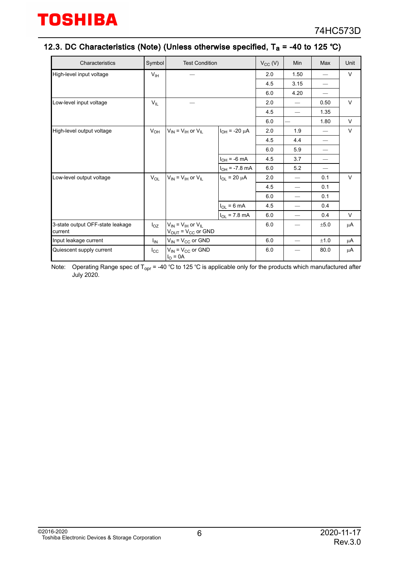#### 12.3. DC Characteristics (Note) (Unless otherwise specified,  $T_a$  = -40 to 125 °C)

| Characteristics                             | Symbol          | <b>Test Condition</b>                                      |                        | $V_{CC} (V)$ | Min                            | Max  | Unit   |
|---------------------------------------------|-----------------|------------------------------------------------------------|------------------------|--------------|--------------------------------|------|--------|
| High-level input voltage                    | V <sub>IH</sub> |                                                            |                        | 2.0          | 1.50                           |      | V      |
|                                             |                 |                                                            |                        | 4.5          | 3.15                           |      |        |
|                                             |                 |                                                            |                        | 6.0          | 4.20                           |      |        |
| Low-level input voltage                     | $V_{IL}$        |                                                            |                        | 2.0          | $\overline{\phantom{0}}$       | 0.50 | V      |
|                                             |                 |                                                            |                        | 4.5          | $\overline{\phantom{0}}$       | 1.35 |        |
|                                             |                 |                                                            |                        | 6.0          |                                | 1.80 | V      |
| High-level output voltage                   | $V_{OH}$        | $V_{IN} = V_{IH}$ or $V_{IL}$                              | $I_{OH}$ = -20 $\mu$ A | 2.0          | 1.9                            |      | $\vee$ |
|                                             |                 |                                                            |                        | 4.5          | 4.4                            |      |        |
|                                             |                 |                                                            |                        | 6.0          | 5.9                            |      |        |
|                                             |                 |                                                            | $I_{OH}$ = -6 mA       | 4.5          | 3.7                            |      |        |
|                                             |                 |                                                            | $I_{OH}$ = -7.8 mA     | 6.0          | 5.2                            |      |        |
| Low-level output voltage                    | $V_{OL}$        | $V_{IN}$ = $V_{IH}$ or $V_{IL}$                            | $I_{OL}$ = 20 $\mu$ A  | 2.0          | $\overline{\phantom{0}}$       | 0.1  | $\vee$ |
|                                             |                 |                                                            |                        | 4.5          | $\overbrace{\phantom{aaaaa}}$  | 0.1  |        |
|                                             |                 |                                                            |                        | 6.0          | $\overline{\phantom{0}}$       | 0.1  |        |
|                                             |                 |                                                            | $I_{OL} = 6 mA$        | 4.5          | $\overline{\phantom{0}}$       | 0.4  |        |
|                                             |                 |                                                            | $I_{OL}$ = 7.8 mA      | 6.0          | $\qquad \qquad \longleftarrow$ | 0.4  | V      |
| 3-state output OFF-state leakage<br>current | $I_{OZ}$        | $V_{IN} = V_{IH}$ or $V_{IL}$<br>$V_{OUT} = V_{CC}$ or GND |                        | 6.0          |                                | ±5.0 | μA     |
| Input leakage current                       | $I_{IN}$        | $V_{IN}$ = $V_{CC}$ or GND                                 |                        | 6.0          | $\overline{\phantom{0}}$       | ±1.0 | μA     |
| Quiescent supply current                    | $I_{\rm CC}$    | $V_{IN} = V_{CC}$ or GND<br>$IO = 0A$                      |                        | 6.0          |                                | 80.0 | μA     |

Note: Operating Range spec of T<sub>opr</sub> = -40 °C to 125 °C is applicable only for the products which manufactured after July 2020.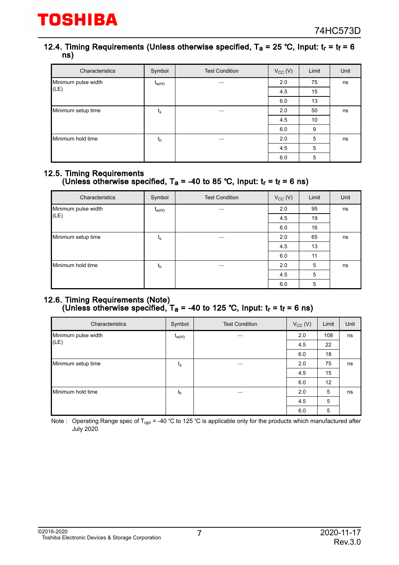#### 12.4. Timing Requirements (Unless otherwise specified,  $T_a = 25$  °C, Input:  $t_r = t_f = 6$ ns)

| Characteristics     | Symbol                    | <b>Test Condition</b> | $V_{CC} (V)$ | Limit | Unit |
|---------------------|---------------------------|-----------------------|--------------|-------|------|
| Minimum pulse width | $t_{w(H)}$                |                       | 2.0          | 75    | ns   |
| (LE)                |                           |                       | 45           | 15    |      |
|                     |                           |                       | 6.0          | 13    |      |
| Minimum setup time  | $\mathfrak{t}_\mathsf{s}$ |                       | 2.0          | 50    | ns   |
|                     |                           |                       | 4.5          | 10    |      |
|                     |                           |                       | 6.0          | 9     |      |
| Minimum hold time   | $t_h$                     |                       | 2.0          | 5     | ns   |
|                     |                           |                       | 45           | 5     |      |
|                     |                           |                       | 6.0          | 5     |      |

#### 12.5. Timing Requirements (Unless otherwise specified, T<sub>a</sub> = -40 to 85 °C, Input: t<sub>r</sub> = t<sub>f</sub> = 6 ns)

| Characteristics     | Symbol      | <b>Test Condition</b> | $V_{CC} (V)$ | Limit | Unit |
|---------------------|-------------|-----------------------|--------------|-------|------|
| Minimum pulse width | $t_{w(H)}$  |                       | 2.0          | 95    | ns   |
| (LE)                |             |                       | 45           | 19    |      |
|                     |             |                       | 6.0          | 16    |      |
| Minimum setup time  | $t_{\rm s}$ |                       | 2.0          | 65    | ns   |
|                     |             |                       | 4.5          | 13    |      |
|                     |             |                       | 6.0          | 11    |      |
| Minimum hold time   | $t_{h}$     |                       | 2.0          | 5     | ns   |
|                     |             |                       | 4.5          | 5     |      |
|                     |             |                       | 6.0          | 5     |      |

#### 12.6. Timing Requirements (Note) (Unless otherwise specified, T<sub>a</sub> = -40 to 125 °C, Input: t<sub>r</sub> = t<sub>f</sub> = 6 ns)

| Characteristics     | Symbol      | <b>Test Condition</b> | $V_{CC} (V)$ | Limit | Unit |
|---------------------|-------------|-----------------------|--------------|-------|------|
| Minimum pulse width | $t_{w(H)}$  |                       | 2.0          | 108   | ns   |
| (LE)                |             |                       | 4.5          | 22    |      |
|                     |             |                       | 6.0          | 18    |      |
| Minimum setup time  | $t_{\rm s}$ |                       | 2.0          | 75    | ns   |
|                     |             |                       | 4.5          | 15    |      |
|                     |             |                       | 6.0          | 12    |      |
| Minimum hold time   | $t_{h}$     |                       | 2.0          | 5     | ns   |
|                     |             |                       | 4.5          | 5     |      |
|                     |             |                       | 6.0          | 5     |      |

Note : Operating Range spec of T<sub>opr</sub> = -40 °C to 125 °C is applicable only for the products which manufactured after July 2020.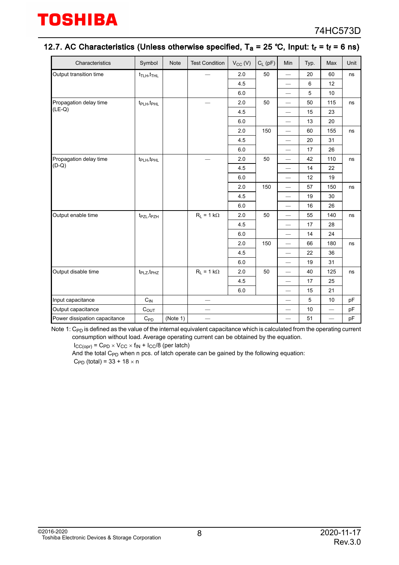#### 12.7. AC Characteristics (Unless otherwise specified,  $T_a = 25$  °C, Input:  $t_r = t_f = 6$  ns)

| Characteristics               | Symbol                              | <b>Note</b> | <b>Test Condition</b>    | $V_{CC}$ (V) | $C_L$ (pF) | Min                      | Typ.    | Max                      | Unit |
|-------------------------------|-------------------------------------|-------------|--------------------------|--------------|------------|--------------------------|---------|--------------------------|------|
| Output transition time        | $t_{\text{TLH}}$ , $t_{\text{THL}}$ |             |                          | 2.0          | 50         | $\overline{\phantom{0}}$ | 20      | 60                       | ns   |
|                               |                                     |             |                          | 4.5          |            | $\overline{\phantom{0}}$ | $\,6\,$ | 12                       |      |
|                               |                                     |             |                          | 6.0          |            | $\overline{\phantom{0}}$ | 5       | 10                       |      |
| Propagation delay time        | t <sub>PLH</sub> , t <sub>PHL</sub> |             |                          | 2.0          | 50         | $\qquad \qquad$          | 50      | 115                      | ns   |
| $(LE-Q)$                      |                                     |             |                          | 4.5          |            | $\overline{\phantom{0}}$ | 15      | 23                       |      |
|                               |                                     |             |                          | 6.0          |            | $\overline{\phantom{0}}$ | 13      | 20                       |      |
|                               |                                     |             |                          | 2.0          | 150        | $\equiv$                 | 60      | 155                      | ns   |
|                               |                                     |             |                          | 4.5          |            | $\overline{\phantom{0}}$ | 20      | 31                       |      |
|                               |                                     |             |                          | 6.0          |            |                          | 17      | 26                       |      |
| Propagation delay time        | t <sub>PLH</sub> , t <sub>PHL</sub> |             |                          | 2.0          | 50         | $\qquad \qquad$          | 42      | 110                      | ns   |
| $(D-Q)$                       |                                     |             |                          | 4.5          |            |                          | 14      | 22                       |      |
|                               |                                     |             |                          | 6.0          |            | $\overline{\phantom{0}}$ | 12      | 19                       |      |
|                               |                                     |             |                          | 2.0          | 150        | $\overline{\phantom{0}}$ | 57      | 150                      | ns   |
|                               |                                     |             |                          | 4.5          |            | $\overline{\phantom{0}}$ | 19      | 30                       |      |
|                               |                                     |             |                          | 6.0          |            | $\overline{\phantom{0}}$ | 16      | 26                       |      |
| Output enable time            | $t_{PZL}, t_{PZH}$                  |             | $R_L = 1 k\Omega$        | 2.0          | 50         | $\overline{\phantom{0}}$ | 55      | 140                      | ns   |
|                               |                                     |             |                          | 4.5          |            | $\overline{\phantom{0}}$ | 17      | 28                       |      |
|                               |                                     |             |                          | 6.0          |            | $\overline{\phantom{0}}$ | 14      | 24                       |      |
|                               |                                     |             |                          | 2.0          | 150        | $\qquad \qquad$          | 66      | 180                      | ns   |
|                               |                                     |             |                          | 4.5          |            | $\equiv$                 | 22      | 36                       |      |
|                               |                                     |             |                          | 6.0          |            | $\overline{\phantom{0}}$ | 19      | 31                       |      |
| Output disable time           | t <sub>PLZ</sub> , t <sub>PHZ</sub> |             | $R_L = 1 k\Omega$        | 2.0          | 50         | $\qquad \qquad$          | 40      | 125                      | ns   |
|                               |                                     |             |                          | 4.5          |            | $\overline{\phantom{0}}$ | 17      | 25                       |      |
|                               |                                     |             |                          | 6.0          |            | $\overline{\phantom{0}}$ | 15      | 21                       |      |
| Input capacitance             | $\mathrm{C_{IN}}$                   |             | $\overline{\phantom{0}}$ |              |            | $\overline{\phantom{0}}$ | 5       | 10                       | pF   |
| Output capacitance            | $C_{OUT}$                           |             |                          |              |            | $\overline{\phantom{0}}$ | 10      | $\overline{\phantom{0}}$ | pF   |
| Power dissipation capacitance | $C_{PD}$                            | (Note 1)    | $\overline{\phantom{0}}$ |              |            | $\qquad \qquad$          | 51      |                          | pF   |

Note 1:  $\rm C_{PD}$  is defined as the value of the internal equivalent capacitance which is calculated from the operating current consumption without load. Average operating current can be obtained by the equation.

 $I_{CC(opr)}$  =  $C_{PD} \times V_{CC} \times f_{IN} + I_{CC}/8$  (per latch)

And the total  $C_{PD}$  when n pcs. of latch operate can be gained by the following equation:  $C_{\text{PD}}$  (total) = 33 + 18  $\times$  n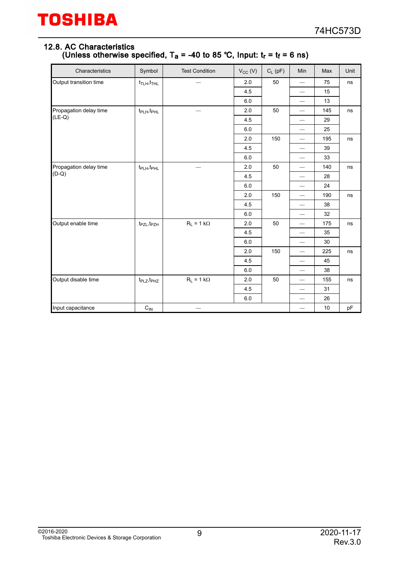#### 12.8. AC Characteristics (Unless otherwise specified, T<sub>a</sub> = -40 to 85 °C, Input: t<sub>r</sub> = t<sub>f</sub> = 6 ns)

| Characteristics        | Symbol                               | <b>Test Condition</b> | $V_{CC} (V)$ | $C_L$ (pF) | Min                             | Max | Unit |
|------------------------|--------------------------------------|-----------------------|--------------|------------|---------------------------------|-----|------|
| Output transition time | $t_{\text{TLH}}, t_{\text{THL}}$     |                       | 2.0          | 50         | $\overline{\phantom{m}}$        | 75  | ns   |
|                        |                                      |                       | 4.5          |            |                                 | 15  |      |
|                        |                                      |                       | 6.0          |            |                                 | 13  |      |
| Propagation delay time | $t_{\mathsf{PLH}}, t_{\mathsf{PHL}}$ |                       | 2.0          | 50         |                                 | 145 | ns   |
| $(LE-Q)$               |                                      |                       | 4.5          |            |                                 | 29  |      |
|                        |                                      |                       | 6.0          |            | $\overbrace{\qquad \qquad }^{}$ | 25  |      |
|                        |                                      |                       | $2.0\,$      | 150        | $\overline{\phantom{0}}$        | 195 | ns   |
|                        |                                      |                       | 4.5          |            |                                 | 39  |      |
|                        |                                      |                       | $6.0\,$      |            |                                 | 33  |      |
| Propagation delay time | t <sub>PLH</sub> , t <sub>PHL</sub>  |                       | 2.0          | 50         |                                 | 140 | ns   |
| $(D-Q)$                |                                      |                       | 4.5          |            | $\overline{\phantom{0}}$        | 28  |      |
|                        |                                      |                       | 6.0          |            | $\overline{\phantom{m}}$        | 24  |      |
|                        |                                      |                       | 2.0          | 150        |                                 | 190 | ns   |
|                        |                                      |                       | 4.5          |            |                                 | 38  |      |
|                        |                                      |                       | 6.0          |            |                                 | 32  |      |
| Output enable time     | $t_{PZL}, t_{PZH}$                   | $R_L = 1 k\Omega$     | 2.0          | 50         | $\overline{\phantom{m}}$        | 175 | ns   |
|                        |                                      |                       | 4.5          |            | $\hspace{0.1mm}-\hspace{0.1mm}$ | 35  |      |
|                        |                                      |                       | 6.0          |            | $\overline{\phantom{0}}$        | 30  |      |
|                        |                                      |                       | 2.0          | 150        | $\qquad \qquad$                 | 225 | ns   |
|                        |                                      |                       | 4.5          |            | $\overline{\phantom{0}}$        | 45  |      |
|                        |                                      |                       | 6.0          |            |                                 | 38  |      |
| Output disable time    | t <sub>PLZ</sub> , t <sub>PHZ</sub>  | $R_L = 1 k\Omega$     | 2.0          | 50         |                                 | 155 | ns   |
|                        |                                      |                       | 4.5          |            | $\overline{\phantom{m}}$        | 31  |      |
|                        |                                      |                       | 6.0          |            |                                 | 26  |      |
| Input capacitance      | $C_{IN}$                             |                       |              |            | $\overline{\phantom{0}}$        | 10  | pF   |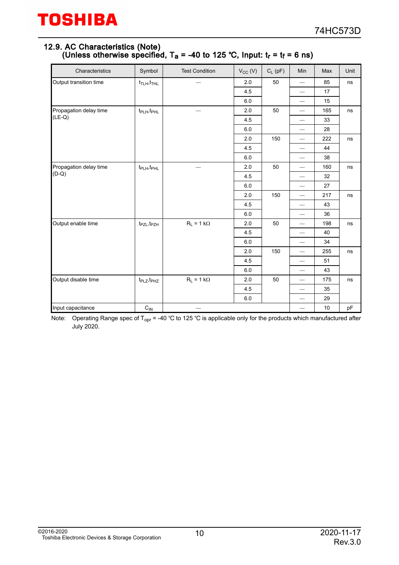#### 12.9. AC Characteristics (Note) (Unless otherwise specified, T<sub>a</sub> = -40 to 125 °C, Input: t<sub>r</sub> = t<sub>f</sub> = 6 ns)

| Characteristics                    | Symbol                               | <b>Test Condition</b> | $V_{CC} (V)$ | $C_L$ (pF) | Min                             | Max | Unit |
|------------------------------------|--------------------------------------|-----------------------|--------------|------------|---------------------------------|-----|------|
| Output transition time             | $t_{\text{TLH}}$ , $t_{\text{THL}}$  |                       | 2.0          | 50         | $\overline{\phantom{m}}$        | 85  | ns   |
|                                    |                                      |                       | 4.5          |            |                                 | 17  |      |
|                                    |                                      |                       | 6.0          |            | $\overline{\phantom{0}}$        | 15  |      |
| Propagation delay time<br>$(LE-Q)$ | $t_{\mathsf{PLH}}, t_{\mathsf{PHL}}$ |                       | 2.0          | 50         | $\overbrace{\qquad \qquad }^{}$ | 165 | ns   |
|                                    |                                      |                       | 4.5          |            |                                 | 33  |      |
|                                    |                                      |                       | 6.0          |            | $\overbrace{\qquad \qquad }^{}$ | 28  |      |
|                                    |                                      |                       | 2.0          | 150        |                                 | 222 | ns   |
|                                    |                                      |                       | 4.5          |            | $\overline{\phantom{0}}$        | 44  |      |
|                                    |                                      |                       | 6.0          |            |                                 | 38  |      |
| Propagation delay time<br>$(D-Q)$  | $t_{\mathsf{PLH}}, t_{\mathsf{PHL}}$ |                       | 2.0          | 50         | $\overline{\phantom{0}}$        | 160 | ns   |
|                                    |                                      |                       | 4.5          |            |                                 | 32  |      |
|                                    |                                      |                       | 6.0          |            | $\overline{\phantom{0}}$        | 27  |      |
|                                    |                                      |                       | 2.0          | 150        | $\overline{\phantom{0}}$        | 217 | ns   |
|                                    |                                      |                       | 4.5          |            |                                 | 43  |      |
|                                    |                                      |                       | 6.0          |            |                                 | 36  |      |
| Output enable time                 | $t_{PZL}, t_{PZH}$                   | $R_L = 1 k\Omega$     | 2.0          | 50         |                                 | 198 | ns   |
|                                    |                                      |                       | 4.5          |            | $\overline{\phantom{0}}$        | 40  |      |
|                                    |                                      |                       | 6.0          |            |                                 | 34  |      |
|                                    |                                      |                       | 2.0          | 150        |                                 | 255 | ns   |
|                                    |                                      |                       | 4.5          |            |                                 | 51  |      |
|                                    |                                      |                       | 6.0          |            |                                 | 43  |      |
| Output disable time                | $t_{PLZ}, t_{PHZ}$                   | $R_L = 1 k\Omega$     | 2.0          | 50         | $\overline{\phantom{m}}$        | 175 | ns   |
|                                    |                                      |                       | 4.5          |            |                                 | 35  |      |
|                                    |                                      |                       | 6.0          |            |                                 | 29  |      |
| Input capacitance                  | $C_{IN}$                             |                       |              |            | $\overline{\phantom{0}}$        | 10  | pF   |

Note: Operating Range spec of T<sub>opr</sub> = -40 °C to 125 °C is applicable only for the products which manufactured after July 2020.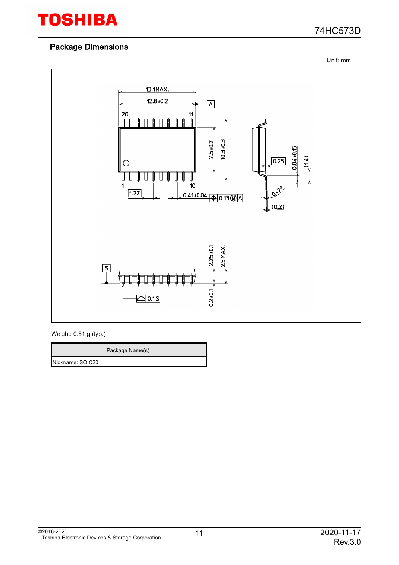

Unit: mm



Weight: 0.51 g (typ.)

Package Name(s)

Nickname: SOIC20